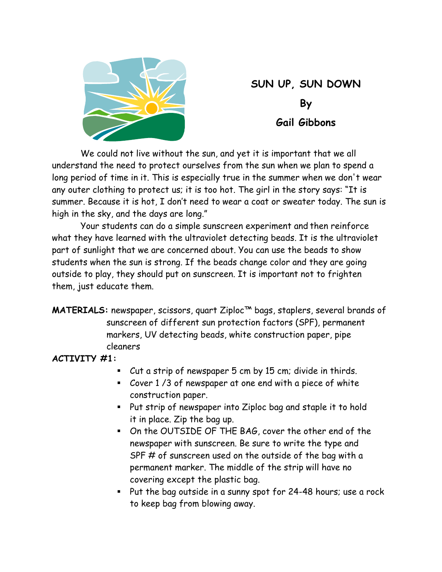

# **SUN UP, SUN DOWN By Gail Gibbons**

We could not live without the sun, and yet it is important that we all understand the need to protect ourselves from the sun when we plan to spend a long period of time in it. This is especially true in the summer when we don't wear any outer clothing to protect us; it is too hot. The girl in the story says: "It is summer. Because it is hot, I don't need to wear a coat or sweater today. The sun is high in the sky, and the days are long."

Your students can do a simple sunscreen experiment and then reinforce what they have learned with the ultraviolet detecting beads. It is the ultraviolet part of sunlight that we are concerned about. You can use the beads to show students when the sun is strong. If the beads change color and they are going outside to play, they should put on sunscreen. It is important not to frighten them, just educate them.

**MATERIALS:** newspaper, scissors, quart Ziploc™ bags, staplers, several brands of sunscreen of different sun protection factors (SPF), permanent markers, UV detecting beads, white construction paper, pipe cleaners

### **ACTIVITY #1:**

- Cut a strip of newspaper 5 cm by 15 cm; divide in thirds.
- Cover 1 /3 of newspaper at one end with a piece of white construction paper.
- Put strip of newspaper into Ziploc bag and staple it to hold it in place. Zip the bag up.
- On the OUTSIDE OF THE BAG, cover the other end of the newspaper with sunscreen. Be sure to write the type and SPF # of sunscreen used on the outside of the bag with a permanent marker. The middle of the strip will have no covering except the plastic bag.
- Put the bag outside in a sunny spot for 24-48 hours; use a rock to keep bag from blowing away.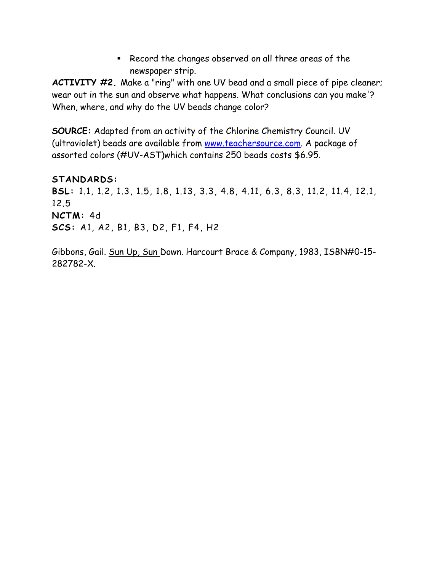Record the changes observed on all three areas of the newspaper strip.

**ACTIVITY #2.** Make a "ring" with one UV bead and a small piece of pipe cleaner; wear out in the sun and observe what happens. What conclusions can you make'? When, where, and why do the UV beads change color?

**SOURCE:** Adapted from an activity of the Chlorine Chemistry Council. UV (ultraviolet) beads are available from www.teachersource.com. A package of assorted colors (#UV-AST)which contains 250 beads costs \$6.95.

**STANDARDS: BSL:** 1.1, 1.2, 1.3, 1.5, 1.8, 1.13, 3.3, 4.8, 4.11, 6.3, 8.3, 11.2, 11.4, 12.1, 12.5 **NCTM:** 4d **SCS:** A1, A2, B1, B3, D2, F1, F4, H2

Gibbons, Gail. Sun Up, Sun Down. Harcourt Brace & Company, 1983, ISBN#0-15- 282782-X.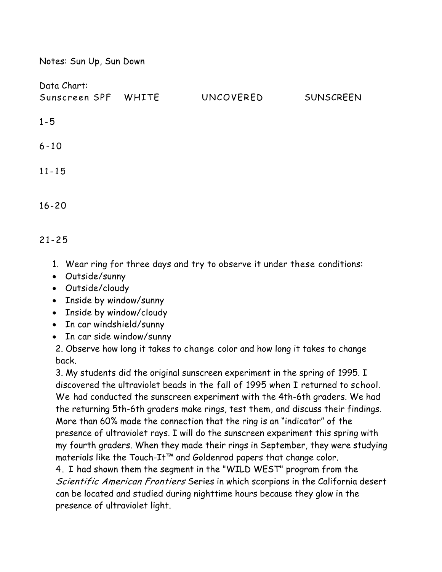| Notes: Sun Up, Sun Down            |  |           |                  |
|------------------------------------|--|-----------|------------------|
| Data Chart:<br>Sunscreen SPF WHITE |  | UNCOVERED | <b>SUNSCREEN</b> |
| $1 - 5$                            |  |           |                  |
| $6 - 10$                           |  |           |                  |
| $11 - 15$                          |  |           |                  |
| $16 - 20$                          |  |           |                  |

## 21-25

- 1. Wear ring for three days and try to observe it under these conditions:
- Outside/sunny
- Outside/cloudy
- Inside by window/sunny
- Inside by window/cloudy
- In car windshield/sunny
- In car side window/sunny

2. Observe how long it takes to change color and how long it takes to change back.

3. My students did the original sunscreen experiment in the spring of 1995. I discovered the ultraviolet beads in the fall of 1995 when I returned to school. We had conducted the sunscreen experiment with the 4th-6th graders. We had the returning 5th-6th graders make rings, test them, and discuss their findings. More than 60% made the connection that the ring is an "indicator" of the presence of ultraviolet rays. I will do the sunscreen experiment this spring with my fourth graders. When they made their rings in September, they were studying materials like the Touch-It™ and Goldenrod papers that change color.

4. I had shown them the segment in the "WILD WEST" program from the Scientific American Frontiers Series in which scorpions in the California desert can be located and studied during nighttime hours because they glow in the presence of ultraviolet light.